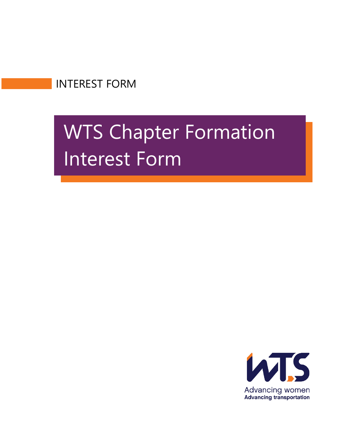INTEREST FORM

# WTS Chapter Formation Interest Form

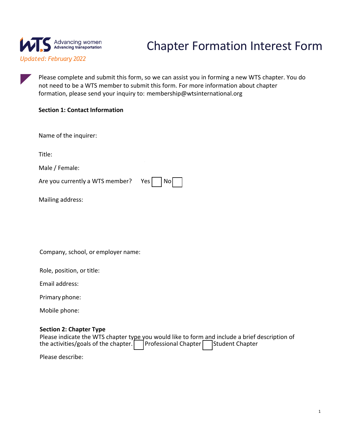

## Chapter Formation Interest Form

Please complete and submit this form, so we can assist you in forming a new WTS chapter. You do not need to be a WTS member to submit this form. For more information about chapter formation, please send your inquiry to: membership@wtsinternational.org

### **Section 1: Contact Information**

Name of the inquirer:

Title:

Male / Female:

Are you currently a WTS member? Yes

|  | NO. |  |
|--|-----|--|
|--|-----|--|

 $\mathbf{r}$ 

Mailing address:

Company, school, or employer name:

Role, position, or title:

Email address:

Primary phone:

Mobile phone:

#### **Section 2: Chapter Type**

| Please indicate the WTS chapter type you would like to form and include a brief description of |  |  |
|------------------------------------------------------------------------------------------------|--|--|
| the activities/goals of the chapter. Professional Chapter Student Chapter                      |  |  |

Please describe: